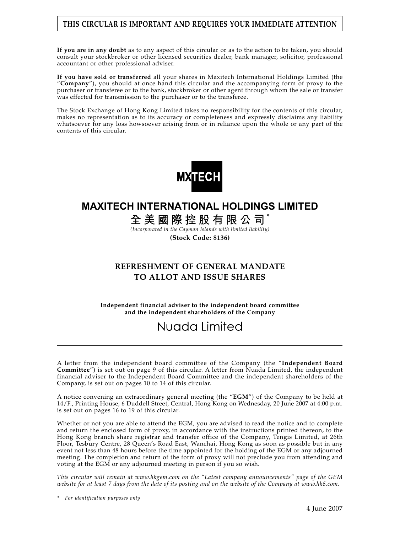### **THIS CIRCULAR IS IMPORTANT AND REQUIRES YOUR IMMEDIATE ATTENTION**

**If you are in any doubt** as to any aspect of this circular or as to the action to be taken, you should consult your stockbroker or other licensed securities dealer, bank manager, solicitor, professional accountant or other professional adviser.

**If you have sold or transferred** all your shares in Maxitech International Holdings Limited (the "**Company**"), you should at once hand this circular and the accompanying form of proxy to the purchaser or transferee or to the bank, stockbroker or other agent through whom the sale or transfer was effected for transmission to the purchaser or to the transferee.

The Stock Exchange of Hong Kong Limited takes no responsibility for the contents of this circular, makes no representation as to its accuracy or completeness and expressly disclaims any liability whatsoever for any loss howsoever arising from or in reliance upon the whole or any part of the contents of this circular.



# **MAXITECH INTERNATIONAL HOLDINGS LIMITED**

**全美國際控股有限公司** \*

*(Incorporated in the Cayman Islands with limited liability)*

**(Stock Code: 8136)**

### **REFRESHMENT OF GENERAL MANDATE TO ALLOT AND ISSUE SHARES**

**Independent financial adviser to the independent board committee and the independent shareholders of the Company**

# Nuada Limited

A letter from the independent board committee of the Company (the "**Independent Board Committee**") is set out on page 9 of this circular. A letter from Nuada Limited, the independent financial adviser to the Independent Board Committee and the independent shareholders of the Company, is set out on pages 10 to 14 of this circular.

A notice convening an extraordinary general meeting (the "**EGM**") of the Company to be held at 14/F., Printing House, 6 Duddell Street, Central, Hong Kong on Wednesday, 20 June 2007 at 4:00 p.m. is set out on pages 16 to 19 of this circular.

Whether or not you are able to attend the EGM, you are advised to read the notice and to complete and return the enclosed form of proxy, in accordance with the instructions printed thereon, to the Hong Kong branch share registrar and transfer office of the Company, Tengis Limited, at 26th Floor, Tesbury Centre, 28 Queen's Road East, Wanchai, Hong Kong as soon as possible but in any event not less than 48 hours before the time appointed for the holding of the EGM or any adjourned meeting. The completion and return of the form of proxy will not preclude you from attending and voting at the EGM or any adjourned meeting in person if you so wish.

*This circular will remain at www.hkgem.com on the "Latest company announcements" page of the GEM website for at least 7 days from the date of its posting and on the website of the Company at www.hk6.com.*

*<sup>\*</sup> For identification purposes only*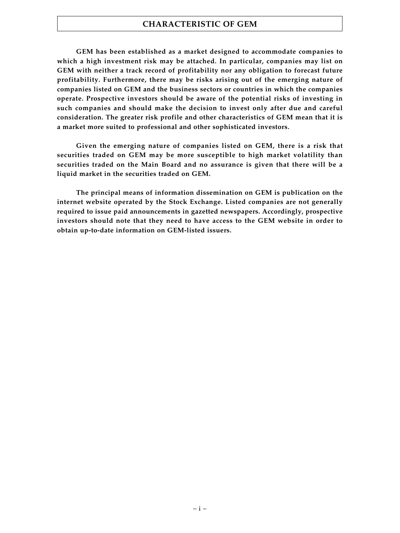### **CHARACTERISTIC OF GEM**

**GEM has been established as a market designed to accommodate companies to which a high investment risk may be attached. In particular, companies may list on GEM with neither a track record of profitability nor any obligation to forecast future profitability. Furthermore, there may be risks arising out of the emerging nature of companies listed on GEM and the business sectors or countries in which the companies operate. Prospective investors should be aware of the potential risks of investing in such companies and should make the decision to invest only after due and careful consideration. The greater risk profile and other characteristics of GEM mean that it is a market more suited to professional and other sophisticated investors.**

**Given the emerging nature of companies listed on GEM, there is a risk that securities traded on GEM may be more susceptible to high market volatility than securities traded on the Main Board and no assurance is given that there will be a liquid market in the securities traded on GEM.**

**The principal means of information dissemination on GEM is publication on the internet website operated by the Stock Exchange. Listed companies are not generally required to issue paid announcements in gazetted newspapers. Accordingly, prospective investors should note that they need to have access to the GEM website in order to obtain up-to-date information on GEM-listed issuers.**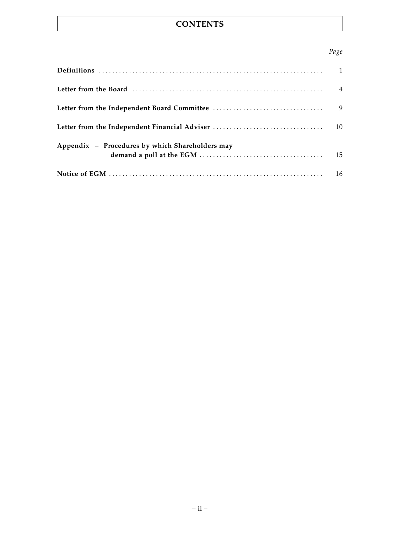# **CONTENTS**

### *Page*

|                                                 | 9  |
|-------------------------------------------------|----|
|                                                 |    |
| Appendix - Procedures by which Shareholders may | 15 |
|                                                 | 16 |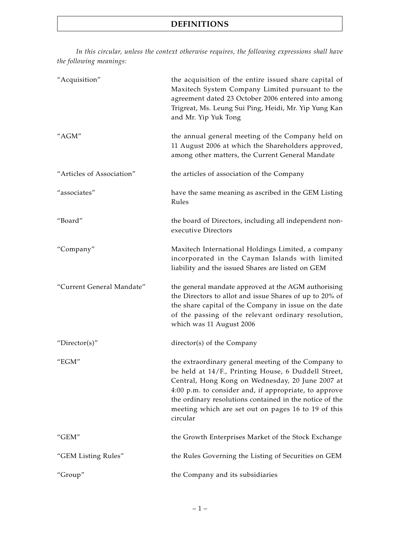*In this circular, unless the context otherwise requires, the following expressions shall have the following meanings:*

| "Acquisition"             | the acquisition of the entire issued share capital of<br>Maxitech System Company Limited pursuant to the<br>agreement dated 23 October 2006 entered into among<br>Trigreat, Ms. Leung Sui Ping, Heidi, Mr. Yip Yung Kan<br>and Mr. Yip Yuk Tong                                                                                                       |
|---------------------------|-------------------------------------------------------------------------------------------------------------------------------------------------------------------------------------------------------------------------------------------------------------------------------------------------------------------------------------------------------|
| "AGM"                     | the annual general meeting of the Company held on<br>11 August 2006 at which the Shareholders approved,<br>among other matters, the Current General Mandate                                                                                                                                                                                           |
| "Articles of Association" | the articles of association of the Company                                                                                                                                                                                                                                                                                                            |
| "associates"              | have the same meaning as ascribed in the GEM Listing<br>Rules                                                                                                                                                                                                                                                                                         |
| "Board"                   | the board of Directors, including all independent non-<br>executive Directors                                                                                                                                                                                                                                                                         |
| "Company"                 | Maxitech International Holdings Limited, a company<br>incorporated in the Cayman Islands with limited<br>liability and the issued Shares are listed on GEM                                                                                                                                                                                            |
| "Current General Mandate" | the general mandate approved at the AGM authorising<br>the Directors to allot and issue Shares of up to 20% of<br>the share capital of the Company in issue on the date<br>of the passing of the relevant ordinary resolution,<br>which was 11 August 2006                                                                                            |
| "Director(s)"             | director(s) of the Company                                                                                                                                                                                                                                                                                                                            |
| " $EGM"$                  | the extraordinary general meeting of the Company to<br>be held at 14/F., Printing House, 6 Duddell Street,<br>Central, Hong Kong on Wednesday, 20 June 2007 at<br>4:00 p.m. to consider and, if appropriate, to approve<br>the ordinary resolutions contained in the notice of the<br>meeting which are set out on pages 16 to 19 of this<br>circular |
| " $GEM"$                  | the Growth Enterprises Market of the Stock Exchange                                                                                                                                                                                                                                                                                                   |
| "GEM Listing Rules"       | the Rules Governing the Listing of Securities on GEM                                                                                                                                                                                                                                                                                                  |
| "Group"                   | the Company and its subsidiaries                                                                                                                                                                                                                                                                                                                      |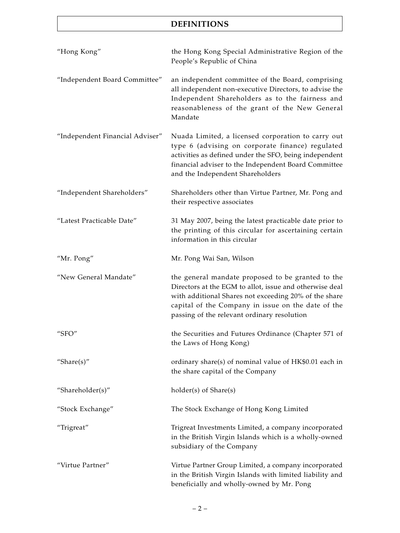# **DEFINITIONS**

| "Hong Kong"                     | the Hong Kong Special Administrative Region of the<br>People's Republic of China                                                                                                                                                                                           |
|---------------------------------|----------------------------------------------------------------------------------------------------------------------------------------------------------------------------------------------------------------------------------------------------------------------------|
| "Independent Board Committee"   | an independent committee of the Board, comprising<br>all independent non-executive Directors, to advise the<br>Independent Shareholders as to the fairness and<br>reasonableness of the grant of the New General<br>Mandate                                                |
| "Independent Financial Adviser" | Nuada Limited, a licensed corporation to carry out<br>type 6 (advising on corporate finance) regulated<br>activities as defined under the SFO, being independent<br>financial adviser to the Independent Board Committee<br>and the Independent Shareholders               |
| "Independent Shareholders"      | Shareholders other than Virtue Partner, Mr. Pong and<br>their respective associates                                                                                                                                                                                        |
| "Latest Practicable Date"       | 31 May 2007, being the latest practicable date prior to<br>the printing of this circular for ascertaining certain<br>information in this circular                                                                                                                          |
| "Mr. Pong"                      | Mr. Pong Wai San, Wilson                                                                                                                                                                                                                                                   |
| "New General Mandate"           | the general mandate proposed to be granted to the<br>Directors at the EGM to allot, issue and otherwise deal<br>with additional Shares not exceeding 20% of the share<br>capital of the Company in issue on the date of the<br>passing of the relevant ordinary resolution |
| "SFO"                           | the Securities and Futures Ordinance (Chapter 571 of<br>the Laws of Hong Kong)                                                                                                                                                                                             |
| "Share $(s)$ "                  | ordinary share(s) of nominal value of HK\$0.01 each in<br>the share capital of the Company                                                                                                                                                                                 |
| "Shareholder(s)"                | holder(s) of Share(s)                                                                                                                                                                                                                                                      |
| "Stock Exchange"                | The Stock Exchange of Hong Kong Limited                                                                                                                                                                                                                                    |
| "Trigreat"                      | Trigreat Investments Limited, a company incorporated<br>in the British Virgin Islands which is a wholly-owned<br>subsidiary of the Company                                                                                                                                 |
| "Virtue Partner"                | Virtue Partner Group Limited, a company incorporated<br>in the British Virgin Islands with limited liability and<br>beneficially and wholly-owned by Mr. Pong                                                                                                              |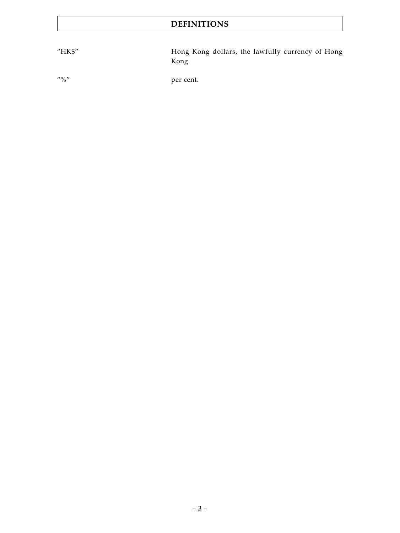# **DEFINITIONS**

"HK\$" Hong Kong dollars, the lawfully currency of Hong Kong

"%" per cent.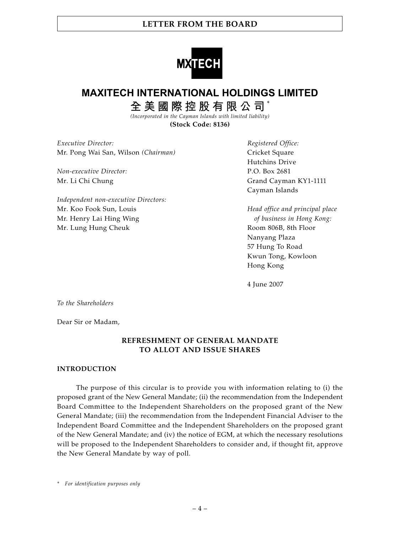

# **MAXITECH INTERNATIONAL HOLDINGS LIMITED**

**全美國際控股有限公司** \* *(Incorporated in the Cayman Islands with limited liability)*

**(Stock Code: 8136)**

*Executive Director: Registered Office:* Mr. Pong Wai San, Wilson *(Chairman)* Cricket Square

*Non-executive Director:* P.O. Box 2681

*Independent non-executive Directors:* Mr. Koo Fook Sun, Louis *Head office and principal place* Mr. Henry Lai Hing Wing *of business in Hong Kong:* Mr. Lung Hung Cheuk **Room 806B**, 8th Floor

Hutchins Drive Mr. Li Chi Chung Grand Cayman KY1-1111 Cayman Islands

> Nanyang Plaza 57 Hung To Road Kwun Tong, Kowloon Hong Kong

4 June 2007

*To the Shareholders*

Dear Sir or Madam,

### **REFRESHMENT OF GENERAL MANDATE TO ALLOT AND ISSUE SHARES**

#### **INTRODUCTION**

The purpose of this circular is to provide you with information relating to (i) the proposed grant of the New General Mandate; (ii) the recommendation from the Independent Board Committee to the Independent Shareholders on the proposed grant of the New General Mandate; (iii) the recommendation from the Independent Financial Adviser to the Independent Board Committee and the Independent Shareholders on the proposed grant of the New General Mandate; and (iv) the notice of EGM, at which the necessary resolutions will be proposed to the Independent Shareholders to consider and, if thought fit, approve the New General Mandate by way of poll.

*\* For identification purposes only*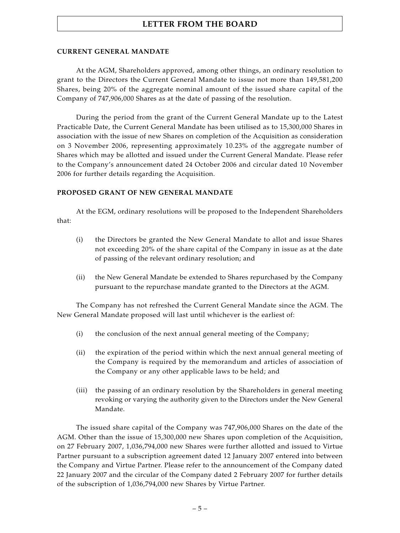### **CURRENT GENERAL MANDATE**

At the AGM, Shareholders approved, among other things, an ordinary resolution to grant to the Directors the Current General Mandate to issue not more than 149,581,200 Shares, being 20% of the aggregate nominal amount of the issued share capital of the Company of 747,906,000 Shares as at the date of passing of the resolution.

During the period from the grant of the Current General Mandate up to the Latest Practicable Date, the Current General Mandate has been utilised as to 15,300,000 Shares in association with the issue of new Shares on completion of the Acquisition as consideration on 3 November 2006, representing approximately 10.23% of the aggregate number of Shares which may be allotted and issued under the Current General Mandate. Please refer to the Company's announcement dated 24 October 2006 and circular dated 10 November 2006 for further details regarding the Acquisition.

#### **PROPOSED GRANT OF NEW GENERAL MANDATE**

At the EGM, ordinary resolutions will be proposed to the Independent Shareholders that:

- (i) the Directors be granted the New General Mandate to allot and issue Shares not exceeding 20% of the share capital of the Company in issue as at the date of passing of the relevant ordinary resolution; and
- (ii) the New General Mandate be extended to Shares repurchased by the Company pursuant to the repurchase mandate granted to the Directors at the AGM.

The Company has not refreshed the Current General Mandate since the AGM. The New General Mandate proposed will last until whichever is the earliest of:

- (i) the conclusion of the next annual general meeting of the Company;
- (ii) the expiration of the period within which the next annual general meeting of the Company is required by the memorandum and articles of association of the Company or any other applicable laws to be held; and
- (iii) the passing of an ordinary resolution by the Shareholders in general meeting revoking or varying the authority given to the Directors under the New General Mandate.

The issued share capital of the Company was 747,906,000 Shares on the date of the AGM. Other than the issue of 15,300,000 new Shares upon completion of the Acquisition, on 27 February 2007, 1,036,794,000 new Shares were further allotted and issued to Virtue Partner pursuant to a subscription agreement dated 12 January 2007 entered into between the Company and Virtue Partner. Please refer to the announcement of the Company dated 22 January 2007 and the circular of the Company dated 2 February 2007 for further details of the subscription of 1,036,794,000 new Shares by Virtue Partner.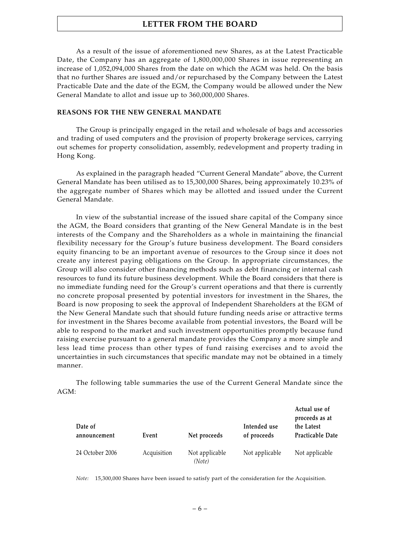As a result of the issue of aforementioned new Shares, as at the Latest Practicable Date, the Company has an aggregate of 1,800,000,000 Shares in issue representing an increase of 1,052,094,000 Shares from the date on which the AGM was held. On the basis that no further Shares are issued and/or repurchased by the Company between the Latest Practicable Date and the date of the EGM, the Company would be allowed under the New General Mandate to allot and issue up to 360,000,000 Shares.

#### **REASONS FOR THE NEW GENERAL MANDATE**

The Group is principally engaged in the retail and wholesale of bags and accessories and trading of used computers and the provision of property brokerage services, carrying out schemes for property consolidation, assembly, redevelopment and property trading in Hong Kong.

As explained in the paragraph headed "Current General Mandate" above, the Current General Mandate has been utilised as to 15,300,000 Shares, being approximately 10.23% of the aggregate number of Shares which may be allotted and issued under the Current General Mandate.

In view of the substantial increase of the issued share capital of the Company since the AGM, the Board considers that granting of the New General Mandate is in the best interests of the Company and the Shareholders as a whole in maintaining the financial flexibility necessary for the Group's future business development. The Board considers equity financing to be an important avenue of resources to the Group since it does not create any interest paying obligations on the Group. In appropriate circumstances, the Group will also consider other financing methods such as debt financing or internal cash resources to fund its future business development. While the Board considers that there is no immediate funding need for the Group's current operations and that there is currently no concrete proposal presented by potential investors for investment in the Shares, the Board is now proposing to seek the approval of Independent Shareholders at the EGM of the New General Mandate such that should future funding needs arise or attractive terms for investment in the Shares become available from potential investors, the Board will be able to respond to the market and such investment opportunities promptly because fund raising exercise pursuant to a general mandate provides the Company a more simple and less lead time process than other types of fund raising exercises and to avoid the uncertainties in such circumstances that specific mandate may not be obtained in a timely manner.

The following table summaries the use of the Current General Mandate since the  $AGM$ 

| Date of<br>announcement | Event       | Net proceeds             | Intended use<br>of proceeds | Actual use of<br>proceeds as at<br>the Latest<br>Practicable Date |
|-------------------------|-------------|--------------------------|-----------------------------|-------------------------------------------------------------------|
| 24 October 2006         | Acquisition | Not applicable<br>(Note) | Not applicable              | Not applicable                                                    |

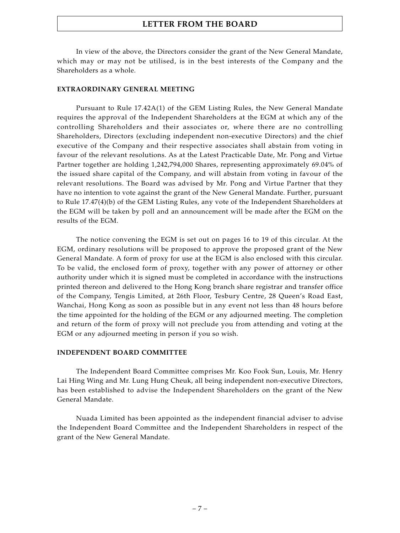In view of the above, the Directors consider the grant of the New General Mandate, which may or may not be utilised, is in the best interests of the Company and the Shareholders as a whole.

### **EXTRAORDINARY GENERAL MEETING**

Pursuant to Rule 17.42A(1) of the GEM Listing Rules, the New General Mandate requires the approval of the Independent Shareholders at the EGM at which any of the controlling Shareholders and their associates or, where there are no controlling Shareholders, Directors (excluding independent non-executive Directors) and the chief executive of the Company and their respective associates shall abstain from voting in favour of the relevant resolutions. As at the Latest Practicable Date, Mr. Pong and Virtue Partner together are holding 1,242,794,000 Shares, representing approximately 69.04% of the issued share capital of the Company, and will abstain from voting in favour of the relevant resolutions. The Board was advised by Mr. Pong and Virtue Partner that they have no intention to vote against the grant of the New General Mandate. Further, pursuant to Rule 17.47(4)(b) of the GEM Listing Rules, any vote of the Independent Shareholders at the EGM will be taken by poll and an announcement will be made after the EGM on the results of the EGM.

The notice convening the EGM is set out on pages 16 to 19 of this circular. At the EGM, ordinary resolutions will be proposed to approve the proposed grant of the New General Mandate. A form of proxy for use at the EGM is also enclosed with this circular. To be valid, the enclosed form of proxy, together with any power of attorney or other authority under which it is signed must be completed in accordance with the instructions printed thereon and delivered to the Hong Kong branch share registrar and transfer office of the Company, Tengis Limited, at 26th Floor, Tesbury Centre, 28 Queen's Road East, Wanchai, Hong Kong as soon as possible but in any event not less than 48 hours before the time appointed for the holding of the EGM or any adjourned meeting. The completion and return of the form of proxy will not preclude you from attending and voting at the EGM or any adjourned meeting in person if you so wish.

### **INDEPENDENT BOARD COMMITTEE**

The Independent Board Committee comprises Mr. Koo Fook Sun, Louis, Mr. Henry Lai Hing Wing and Mr. Lung Hung Cheuk, all being independent non-executive Directors, has been established to advise the Independent Shareholders on the grant of the New General Mandate.

Nuada Limited has been appointed as the independent financial adviser to advise the Independent Board Committee and the Independent Shareholders in respect of the grant of the New General Mandate.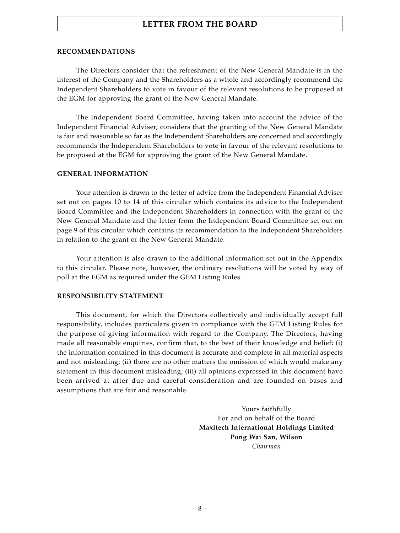#### **RECOMMENDATIONS**

The Directors consider that the refreshment of the New General Mandate is in the interest of the Company and the Shareholders as a whole and accordingly recommend the Independent Shareholders to vote in favour of the relevant resolutions to be proposed at the EGM for approving the grant of the New General Mandate.

The Independent Board Committee, having taken into account the advice of the Independent Financial Adviser, considers that the granting of the New General Mandate is fair and reasonable so far as the Independent Shareholders are concerned and accordingly recommends the Independent Shareholders to vote in favour of the relevant resolutions to be proposed at the EGM for approving the grant of the New General Mandate.

#### **GENERAL INFORMATION**

Your attention is drawn to the letter of advice from the Independent Financial Adviser set out on pages 10 to 14 of this circular which contains its advice to the Independent Board Committee and the Independent Shareholders in connection with the grant of the New General Mandate and the letter from the Independent Board Committee set out on page 9 of this circular which contains its recommendation to the Independent Shareholders in relation to the grant of the New General Mandate.

Your attention is also drawn to the additional information set out in the Appendix to this circular. Please note, however, the ordinary resolutions will be voted by way of poll at the EGM as required under the GEM Listing Rules.

#### **RESPONSIBILITY STATEMENT**

This document, for which the Directors collectively and individually accept full responsibility, includes particulars given in compliance with the GEM Listing Rules for the purpose of giving information with regard to the Company. The Directors, having made all reasonable enquiries, confirm that, to the best of their knowledge and belief: (i) the information contained in this document is accurate and complete in all material aspects and not misleading; (ii) there are no other matters the omission of which would make any statement in this document misleading; (iii) all opinions expressed in this document have been arrived at after due and careful consideration and are founded on bases and assumptions that are fair and reasonable.

> Yours faithfully For and on behalf of the Board **Maxitech International Holdings Limited Pong Wai San, Wilson** *Chairman*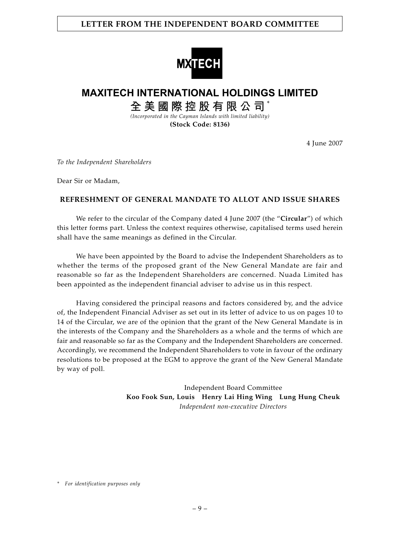### **LETTER FROM THE INDEPENDENT BOARD COMMITTEE**



# **MAXITECH INTERNATIONAL HOLDINGS LIMITED**

**全美國際控股有限公司** \* *(Incorporated in the Cayman Islands with limited liability)*

**(Stock Code: 8136)**

4 June 2007

*To the Independent Shareholders*

Dear Sir or Madam,

### **REFRESHMENT OF GENERAL MANDATE TO ALLOT AND ISSUE SHARES**

We refer to the circular of the Company dated 4 June 2007 (the "**Circular**") of which this letter forms part. Unless the context requires otherwise, capitalised terms used herein shall have the same meanings as defined in the Circular.

We have been appointed by the Board to advise the Independent Shareholders as to whether the terms of the proposed grant of the New General Mandate are fair and reasonable so far as the Independent Shareholders are concerned. Nuada Limited has been appointed as the independent financial adviser to advise us in this respect.

Having considered the principal reasons and factors considered by, and the advice of, the Independent Financial Adviser as set out in its letter of advice to us on pages 10 to 14 of the Circular, we are of the opinion that the grant of the New General Mandate is in the interests of the Company and the Shareholders as a whole and the terms of which are fair and reasonable so far as the Company and the Independent Shareholders are concerned. Accordingly, we recommend the Independent Shareholders to vote in favour of the ordinary resolutions to be proposed at the EGM to approve the grant of the New General Mandate by way of poll.

> Independent Board Committee **Koo Fook Sun, Louis Henry Lai Hing Wing Lung Hung Cheuk** *Independent non-executive Directors*

*<sup>\*</sup> For identification purposes only*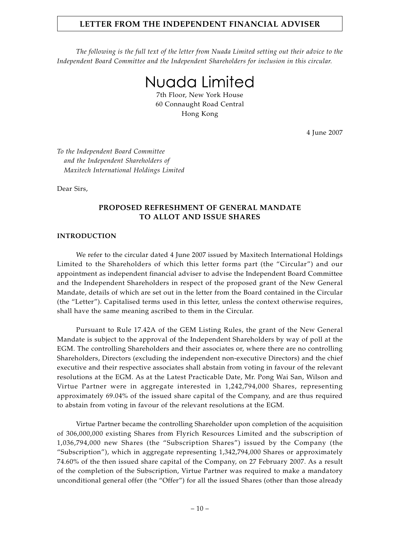*The following is the full text of the letter from Nuada Limited setting out their advice to the Independent Board Committee and the Independent Shareholders for inclusion in this circular.*

Nuada Limited

7th Floor, New York House 60 Connaught Road Central Hong Kong

4 June 2007

*To the Independent Board Committee and the Independent Shareholders of Maxitech International Holdings Limited*

Dear Sirs,

### **PROPOSED REFRESHMENT OF GENERAL MANDATE TO ALLOT AND ISSUE SHARES**

#### **INTRODUCTION**

We refer to the circular dated 4 June 2007 issued by Maxitech International Holdings Limited to the Shareholders of which this letter forms part (the "Circular") and our appointment as independent financial adviser to advise the Independent Board Committee and the Independent Shareholders in respect of the proposed grant of the New General Mandate, details of which are set out in the letter from the Board contained in the Circular (the "Letter"). Capitalised terms used in this letter, unless the context otherwise requires, shall have the same meaning ascribed to them in the Circular.

Pursuant to Rule 17.42A of the GEM Listing Rules, the grant of the New General Mandate is subject to the approval of the Independent Shareholders by way of poll at the EGM. The controlling Shareholders and their associates or, where there are no controlling Shareholders, Directors (excluding the independent non-executive Directors) and the chief executive and their respective associates shall abstain from voting in favour of the relevant resolutions at the EGM. As at the Latest Practicable Date, Mr. Pong Wai San, Wilson and Virtue Partner were in aggregate interested in 1,242,794,000 Shares, representing approximately 69.04% of the issued share capital of the Company, and are thus required to abstain from voting in favour of the relevant resolutions at the EGM.

Virtue Partner became the controlling Shareholder upon completion of the acquisition of 306,000,000 existing Shares from Flyrich Resources Limited and the subscription of 1,036,794,000 new Shares (the "Subscription Shares") issued by the Company (the "Subscription"), which in aggregate representing 1,342,794,000 Shares or approximately 74.60% of the then issued share capital of the Company, on 27 February 2007. As a result of the completion of the Subscription, Virtue Partner was required to make a mandatory unconditional general offer (the "Offer") for all the issued Shares (other than those already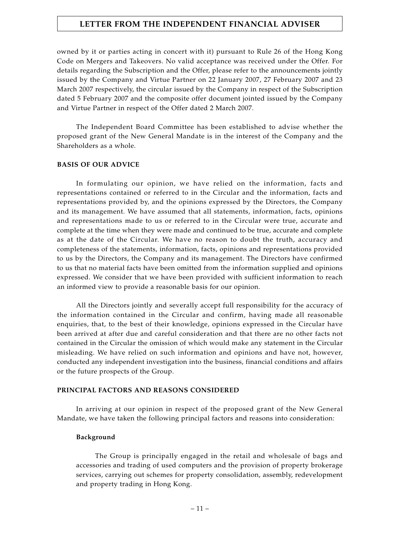owned by it or parties acting in concert with it) pursuant to Rule 26 of the Hong Kong Code on Mergers and Takeovers. No valid acceptance was received under the Offer. For details regarding the Subscription and the Offer, please refer to the announcements jointly issued by the Company and Virtue Partner on 22 January 2007, 27 February 2007 and 23 March 2007 respectively, the circular issued by the Company in respect of the Subscription dated 5 February 2007 and the composite offer document jointed issued by the Company and Virtue Partner in respect of the Offer dated 2 March 2007.

The Independent Board Committee has been established to advise whether the proposed grant of the New General Mandate is in the interest of the Company and the Shareholders as a whole.

#### **BASIS OF OUR ADVICE**

In formulating our opinion, we have relied on the information, facts and representations contained or referred to in the Circular and the information, facts and representations provided by, and the opinions expressed by the Directors, the Company and its management. We have assumed that all statements, information, facts, opinions and representations made to us or referred to in the Circular were true, accurate and complete at the time when they were made and continued to be true, accurate and complete as at the date of the Circular. We have no reason to doubt the truth, accuracy and completeness of the statements, information, facts, opinions and representations provided to us by the Directors, the Company and its management. The Directors have confirmed to us that no material facts have been omitted from the information supplied and opinions expressed. We consider that we have been provided with sufficient information to reach an informed view to provide a reasonable basis for our opinion.

All the Directors jointly and severally accept full responsibility for the accuracy of the information contained in the Circular and confirm, having made all reasonable enquiries, that, to the best of their knowledge, opinions expressed in the Circular have been arrived at after due and careful consideration and that there are no other facts not contained in the Circular the omission of which would make any statement in the Circular misleading. We have relied on such information and opinions and have not, however, conducted any independent investigation into the business, financial conditions and affairs or the future prospects of the Group.

#### **PRINCIPAL FACTORS AND REASONS CONSIDERED**

In arriving at our opinion in respect of the proposed grant of the New General Mandate, we have taken the following principal factors and reasons into consideration:

#### **Background**

The Group is principally engaged in the retail and wholesale of bags and accessories and trading of used computers and the provision of property brokerage services, carrying out schemes for property consolidation, assembly, redevelopment and property trading in Hong Kong.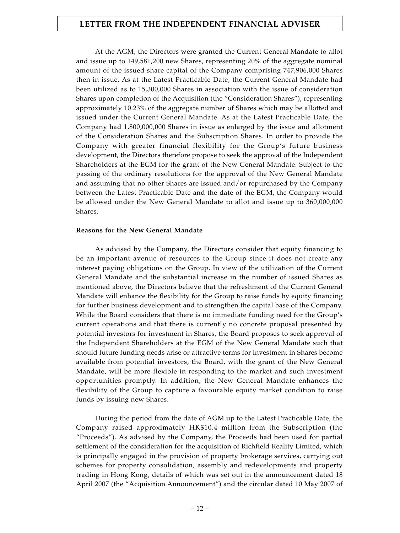At the AGM, the Directors were granted the Current General Mandate to allot and issue up to 149,581,200 new Shares, representing 20% of the aggregate nominal amount of the issued share capital of the Company comprising 747,906,000 Shares then in issue. As at the Latest Practicable Date, the Current General Mandate had been utilized as to 15,300,000 Shares in association with the issue of consideration Shares upon completion of the Acquisition (the "Consideration Shares"), representing approximately 10.23% of the aggregate number of Shares which may be allotted and issued under the Current General Mandate. As at the Latest Practicable Date, the Company had 1,800,000,000 Shares in issue as enlarged by the issue and allotment of the Consideration Shares and the Subscription Shares. In order to provide the Company with greater financial flexibility for the Group's future business development, the Directors therefore propose to seek the approval of the Independent Shareholders at the EGM for the grant of the New General Mandate. Subject to the passing of the ordinary resolutions for the approval of the New General Mandate and assuming that no other Shares are issued and/or repurchased by the Company between the Latest Practicable Date and the date of the EGM, the Company would be allowed under the New General Mandate to allot and issue up to 360,000,000 Shares.

#### **Reasons for the New General Mandate**

As advised by the Company, the Directors consider that equity financing to be an important avenue of resources to the Group since it does not create any interest paying obligations on the Group. In view of the utilization of the Current General Mandate and the substantial increase in the number of issued Shares as mentioned above, the Directors believe that the refreshment of the Current General Mandate will enhance the flexibility for the Group to raise funds by equity financing for further business development and to strengthen the capital base of the Company. While the Board considers that there is no immediate funding need for the Group's current operations and that there is currently no concrete proposal presented by potential investors for investment in Shares, the Board proposes to seek approval of the Independent Shareholders at the EGM of the New General Mandate such that should future funding needs arise or attractive terms for investment in Shares become available from potential investors, the Board, with the grant of the New General Mandate, will be more flexible in responding to the market and such investment opportunities promptly. In addition, the New General Mandate enhances the flexibility of the Group to capture a favourable equity market condition to raise funds by issuing new Shares.

During the period from the date of AGM up to the Latest Practicable Date, the Company raised approximately HK\$10.4 million from the Subscription (the "Proceeds"). As advised by the Company, the Proceeds had been used for partial settlement of the consideration for the acquisition of Richfield Reality Limited, which is principally engaged in the provision of property brokerage services, carrying out schemes for property consolidation, assembly and redevelopments and property trading in Hong Kong, details of which was set out in the announcement dated 18 April 2007 (the "Acquisition Announcement") and the circular dated 10 May 2007 of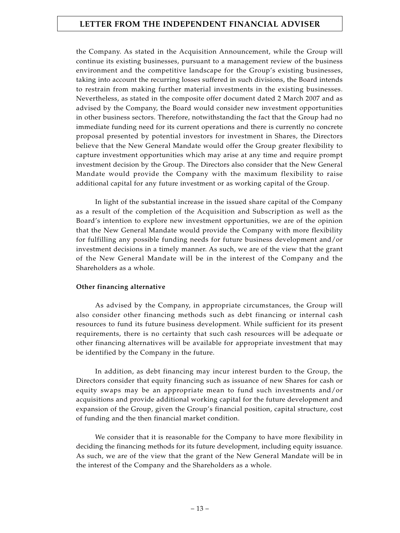the Company. As stated in the Acquisition Announcement, while the Group will continue its existing businesses, pursuant to a management review of the business environment and the competitive landscape for the Group's existing businesses, taking into account the recurring losses suffered in such divisions, the Board intends to restrain from making further material investments in the existing businesses. Nevertheless, as stated in the composite offer document dated 2 March 2007 and as advised by the Company, the Board would consider new investment opportunities in other business sectors. Therefore, notwithstanding the fact that the Group had no immediate funding need for its current operations and there is currently no concrete proposal presented by potential investors for investment in Shares, the Directors believe that the New General Mandate would offer the Group greater flexibility to capture investment opportunities which may arise at any time and require prompt investment decision by the Group. The Directors also consider that the New General Mandate would provide the Company with the maximum flexibility to raise additional capital for any future investment or as working capital of the Group.

In light of the substantial increase in the issued share capital of the Company as a result of the completion of the Acquisition and Subscription as well as the Board's intention to explore new investment opportunities, we are of the opinion that the New General Mandate would provide the Company with more flexibility for fulfilling any possible funding needs for future business development and/or investment decisions in a timely manner. As such, we are of the view that the grant of the New General Mandate will be in the interest of the Company and the Shareholders as a whole.

### **Other financing alternative**

As advised by the Company, in appropriate circumstances, the Group will also consider other financing methods such as debt financing or internal cash resources to fund its future business development. While sufficient for its present requirements, there is no certainty that such cash resources will be adequate or other financing alternatives will be available for appropriate investment that may be identified by the Company in the future.

In addition, as debt financing may incur interest burden to the Group, the Directors consider that equity financing such as issuance of new Shares for cash or equity swaps may be an appropriate mean to fund such investments and/or acquisitions and provide additional working capital for the future development and expansion of the Group, given the Group's financial position, capital structure, cost of funding and the then financial market condition.

We consider that it is reasonable for the Company to have more flexibility in deciding the financing methods for its future development, including equity issuance. As such, we are of the view that the grant of the New General Mandate will be in the interest of the Company and the Shareholders as a whole.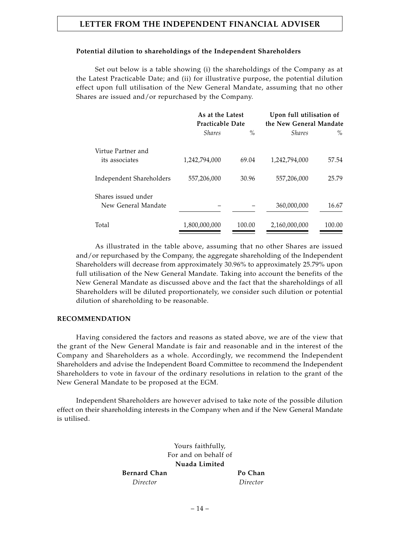### **Potential dilution to shareholdings of the Independent Shareholders**

Set out below is a table showing (i) the shareholdings of the Company as at the Latest Practicable Date; and (ii) for illustrative purpose, the potential dilution effect upon full utilisation of the New General Mandate, assuming that no other Shares are issued and/or repurchased by the Company.

|                          | As at the Latest<br><b>Practicable Date</b> |        | Upon full utilisation of<br>the New General Mandate |        |
|--------------------------|---------------------------------------------|--------|-----------------------------------------------------|--------|
|                          | <i>Shares</i>                               | $\%$   | <b>Shares</b>                                       | $\%$   |
| Virtue Partner and       |                                             |        |                                                     |        |
| its associates           | 1,242,794,000                               | 69.04  | 1,242,794,000                                       | 57.54  |
| Independent Shareholders | 557,206,000                                 | 30.96  | 557,206,000                                         | 25.79  |
| Shares issued under      |                                             |        |                                                     |        |
| New General Mandate      |                                             |        | 360,000,000                                         | 16.67  |
| Total                    | 1,800,000,000                               | 100.00 | 2,160,000,000                                       | 100.00 |

As illustrated in the table above, assuming that no other Shares are issued and/or repurchased by the Company, the aggregate shareholding of the Independent Shareholders will decrease from approximately 30.96% to approximately 25.79% upon full utilisation of the New General Mandate. Taking into account the benefits of the New General Mandate as discussed above and the fact that the shareholdings of all Shareholders will be diluted proportionately, we consider such dilution or potential dilution of shareholding to be reasonable.

### **RECOMMENDATION**

Having considered the factors and reasons as stated above, we are of the view that the grant of the New General Mandate is fair and reasonable and in the interest of the Company and Shareholders as a whole. Accordingly, we recommend the Independent Shareholders and advise the Independent Board Committee to recommend the Independent Shareholders to vote in favour of the ordinary resolutions in relation to the grant of the New General Mandate to be proposed at the EGM.

Independent Shareholders are however advised to take note of the possible dilution effect on their shareholding interests in the Company when and if the New General Mandate is utilised.

> Yours faithfully, For and on behalf of **Nuada Limited**

Bernard Chan **Po Chan** 

*Director Director*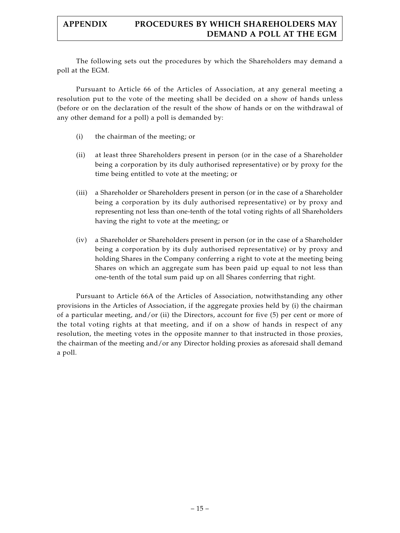The following sets out the procedures by which the Shareholders may demand a poll at the EGM.

Pursuant to Article 66 of the Articles of Association, at any general meeting a resolution put to the vote of the meeting shall be decided on a show of hands unless (before or on the declaration of the result of the show of hands or on the withdrawal of any other demand for a poll) a poll is demanded by:

- (i) the chairman of the meeting; or
- (ii) at least three Shareholders present in person (or in the case of a Shareholder being a corporation by its duly authorised representative) or by proxy for the time being entitled to vote at the meeting; or
- (iii) a Shareholder or Shareholders present in person (or in the case of a Shareholder being a corporation by its duly authorised representative) or by proxy and representing not less than one-tenth of the total voting rights of all Shareholders having the right to vote at the meeting; or
- (iv) a Shareholder or Shareholders present in person (or in the case of a Shareholder being a corporation by its duly authorised representative) or by proxy and holding Shares in the Company conferring a right to vote at the meeting being Shares on which an aggregate sum has been paid up equal to not less than one-tenth of the total sum paid up on all Shares conferring that right.

Pursuant to Article 66A of the Articles of Association, notwithstanding any other provisions in the Articles of Association, if the aggregate proxies held by (i) the chairman of a particular meeting, and/or (ii) the Directors, account for five (5) per cent or more of the total voting rights at that meeting, and if on a show of hands in respect of any resolution, the meeting votes in the opposite manner to that instructed in those proxies, the chairman of the meeting and/or any Director holding proxies as aforesaid shall demand a poll.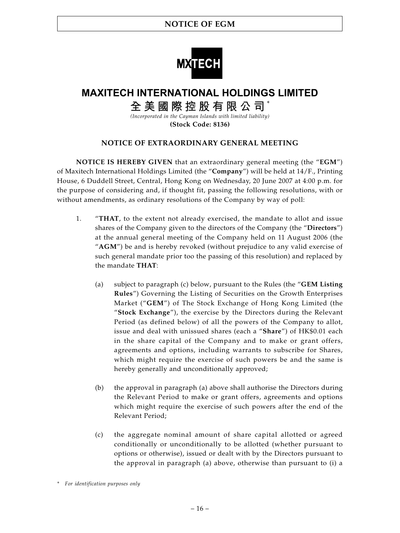

# **MAXITECH INTERNATIONAL HOLDINGS LIMITED**

**全美國際控股有限公司** \*

*(Incorporated in the Cayman Islands with limited liability)* **(Stock Code: 8136)**

### **NOTICE OF EXTRAORDINARY GENERAL MEETING**

**NOTICE IS HEREBY GIVEN** that an extraordinary general meeting (the "**EGM**") of Maxitech International Holdings Limited (the "**Company**") will be held at 14/F., Printing House, 6 Duddell Street, Central, Hong Kong on Wednesday, 20 June 2007 at 4:00 p.m. for the purpose of considering and, if thought fit, passing the following resolutions, with or without amendments, as ordinary resolutions of the Company by way of poll:

- 1. "**THAT**, to the extent not already exercised, the mandate to allot and issue shares of the Company given to the directors of the Company (the "**Directors**") at the annual general meeting of the Company held on 11 August 2006 (the "**AGM**") be and is hereby revoked (without prejudice to any valid exercise of such general mandate prior too the passing of this resolution) and replaced by the mandate **THAT**:
	- (a) subject to paragraph (c) below, pursuant to the Rules (the "**GEM Listing Rules**") Governing the Listing of Securities on the Growth Enterprises Market ("**GEM**") of The Stock Exchange of Hong Kong Limited (the "**Stock Exchange**"), the exercise by the Directors during the Relevant Period (as defined below) of all the powers of the Company to allot, issue and deal with unissued shares (each a "**Share**") of HK\$0.01 each in the share capital of the Company and to make or grant offers, agreements and options, including warrants to subscribe for Shares, which might require the exercise of such powers be and the same is hereby generally and unconditionally approved;
	- (b) the approval in paragraph (a) above shall authorise the Directors during the Relevant Period to make or grant offers, agreements and options which might require the exercise of such powers after the end of the Relevant Period;
	- (c) the aggregate nominal amount of share capital allotted or agreed conditionally or unconditionally to be allotted (whether pursuant to options or otherwise), issued or dealt with by the Directors pursuant to the approval in paragraph (a) above, otherwise than pursuant to (i) a

*<sup>\*</sup> For identification purposes only*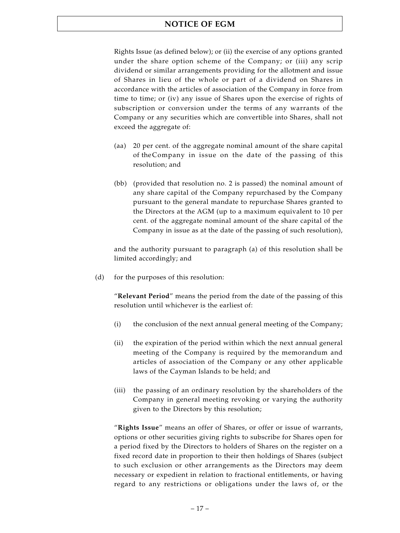Rights Issue (as defined below); or (ii) the exercise of any options granted under the share option scheme of the Company; or (iii) any scrip dividend or similar arrangements providing for the allotment and issue of Shares in lieu of the whole or part of a dividend on Shares in accordance with the articles of association of the Company in force from time to time; or (iv) any issue of Shares upon the exercise of rights of subscription or conversion under the terms of any warrants of the Company or any securities which are convertible into Shares, shall not exceed the aggregate of:

- (aa) 20 per cent. of the aggregate nominal amount of the share capital of the Company in issue on the date of the passing of this resolution; and
- (bb) (provided that resolution no. 2 is passed) the nominal amount of any share capital of the Company repurchased by the Company pursuant to the general mandate to repurchase Shares granted to the Directors at the AGM (up to a maximum equivalent to 10 per cent. of the aggregate nominal amount of the share capital of the Company in issue as at the date of the passing of such resolution),

and the authority pursuant to paragraph (a) of this resolution shall be limited accordingly; and

(d) for the purposes of this resolution:

"**Relevant Period**" means the period from the date of the passing of this resolution until whichever is the earliest of:

- (i) the conclusion of the next annual general meeting of the Company;
- (ii) the expiration of the period within which the next annual general meeting of the Company is required by the memorandum and articles of association of the Company or any other applicable laws of the Cayman Islands to be held; and
- (iii) the passing of an ordinary resolution by the shareholders of the Company in general meeting revoking or varying the authority given to the Directors by this resolution;

"**Rights Issue**" means an offer of Shares, or offer or issue of warrants, options or other securities giving rights to subscribe for Shares open for a period fixed by the Directors to holders of Shares on the register on a fixed record date in proportion to their then holdings of Shares (subject to such exclusion or other arrangements as the Directors may deem necessary or expedient in relation to fractional entitlements, or having regard to any restrictions or obligations under the laws of, or the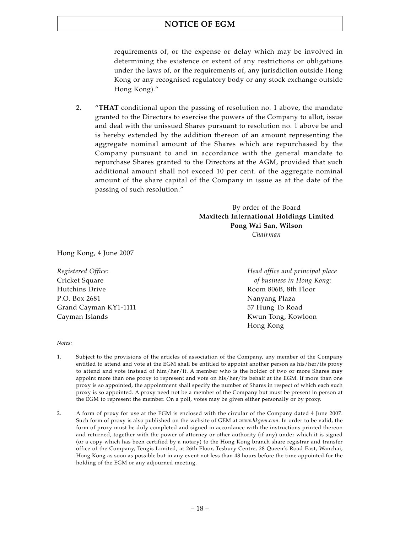### **NOTICE OF EGM**

requirements of, or the expense or delay which may be involved in determining the existence or extent of any restrictions or obligations under the laws of, or the requirements of, any jurisdiction outside Hong Kong or any recognised regulatory body or any stock exchange outside Hong Kong)."

2. "**THAT** conditional upon the passing of resolution no. 1 above, the mandate granted to the Directors to exercise the powers of the Company to allot, issue and deal with the unissued Shares pursuant to resolution no. 1 above be and is hereby extended by the addition thereon of an amount representing the aggregate nominal amount of the Shares which are repurchased by the Company pursuant to and in accordance with the general mandate to repurchase Shares granted to the Directors at the AGM, provided that such additional amount shall not exceed 10 per cent. of the aggregate nominal amount of the share capital of the Company in issue as at the date of the passing of such resolution."

> By order of the Board **Maxitech International Holdings Limited Pong Wai San, Wilson** *Chairman*

Hong Kong, 4 June 2007

Hutchins Drive **Room 806B**, 8th Floor P.O. Box 2681 Nanyang Plaza Grand Cayman KY1-1111 57 Hung To Road Cayman Islands **Kwun Tong**, Kowloon

*Registered Office: Head office and principal place* Cricket Square *of business in Hong Kong:* Hong Kong

#### *Notes:*

- 1. Subject to the provisions of the articles of association of the Company, any member of the Company entitled to attend and vote at the EGM shall be entitled to appoint another person as his/her/its proxy to attend and vote instead of him/her/it. A member who is the holder of two or more Shares may appoint more than one proxy to represent and vote on his/her/its behalf at the EGM. If more than one proxy is so appointed, the appointment shall specify the number of Shares in respect of which each such proxy is so appointed. A proxy need not be a member of the Company but must be present in person at the EGM to represent the member. On a poll, votes may be given either personally or by proxy.
- 2. A form of proxy for use at the EGM is enclosed with the circular of the Company dated 4 June 2007. Such form of proxy is also published on the website of GEM at *www.hkgem.com*. In order to be valid, the form of proxy must be duly completed and signed in accordance with the instructions printed thereon and returned, together with the power of attorney or other authority (if any) under which it is signed (or a copy which has been certified by a notary) to the Hong Kong branch share registrar and transfer office of the Company, Tengis Limited, at 26th Floor, Tesbury Centre, 28 Queen's Road East, Wanchai, Hong Kong as soon as possible but in any event not less than 48 hours before the time appointed for the holding of the EGM or any adjourned meeting.